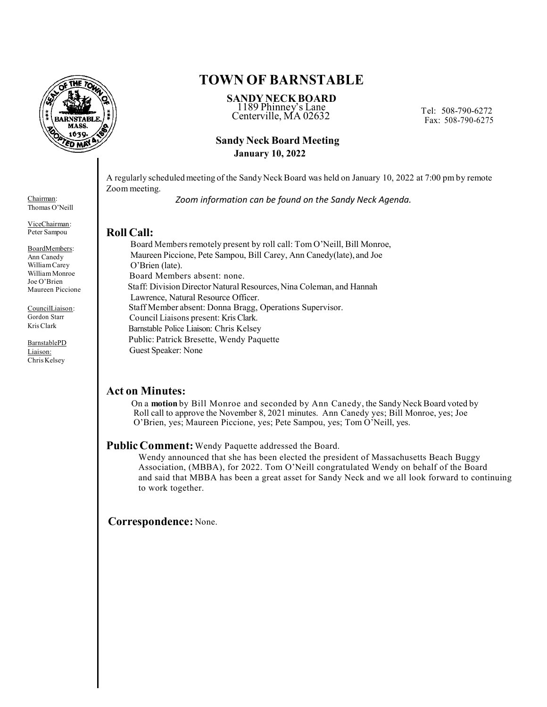

#### Chairman: Thomas O'Neill

ViceChairman: Peter Sampou

BoardMembers: Ann Canedy William Carey William Monroe Joe O'Brien Maureen Piccione

CouncilLiaison: Gordon Starr Kris Clark

BarnstablePD Liaison: Chris Kelsey

# **TOWN OF BARNSTABLE**

The Tel: 508-790-6272<br>Centerville, MA 02632 Tel: 508-790-6272 **SANDY NECK BOARD** 1189 Phinney's Lane

Fax: 508-790-6275

# **Sandy Neck Board Meeting January 10, 2022**

A regularly scheduled meeting of the Sandy Neck Board was held on January 10, 2022 at 7:00 pm by remote Zoom meeting.

*Zoom information can be found on the Sandy Neck Agenda.*

# **Roll Call:**

 Board Members remotely present by roll call: Tom O'Neill, Bill Monroe, Maureen Piccione, Pete Sampou, Bill Carey, Ann Canedy(late), and Joe O'Brien (late). Board Members absent: none. Staff: Division Director Natural Resources, Nina Coleman, and Hannah Lawrence, Natural Resource Officer. Staff Member absent: Donna Bragg, Operations Supervisor. Council Liaisons present: Kris Clark. Barnstable Police Liaison: Chris Kelsey Public: Patrick Bresette, Wendy Paquette Guest Speaker: None

# **Act on Minutes:**

 On a **motion** by Bill Monroe and seconded by Ann Canedy, the Sandy Neck Board voted by Roll call to approve the November 8, 2021 minutes. Ann Canedy yes; Bill Monroe, yes; Joe O'Brien, yes; Maureen Piccione, yes; Pete Sampou, yes; Tom O'Neill, yes.

### **Public Comment:** Wendy Paquette addressed the Board.

 Wendy announced that she has been elected the president of Massachusetts Beach Buggy Association, (MBBA), for 2022. Tom O'Neill congratulated Wendy on behalf of the Board and said that MBBA has been a great asset for Sandy Neck and we all look forward to continuing to work together.

### **Correspondence:** None.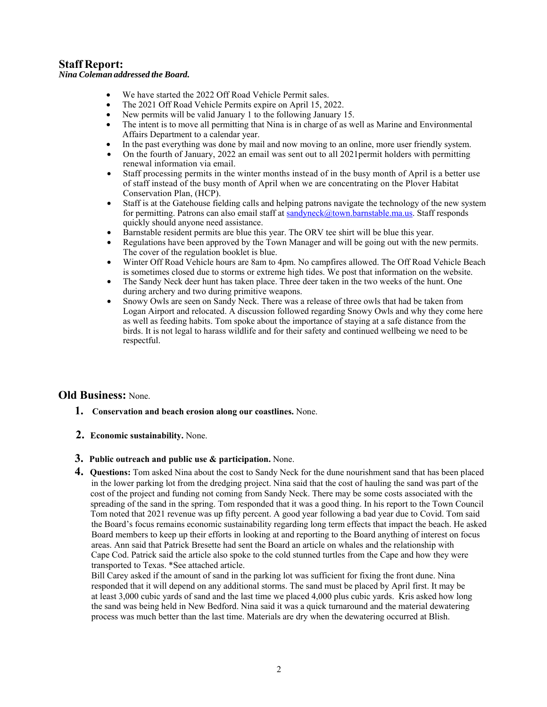# **Staff Report:**

#### *Nina Coleman addressed the Board.*

- We have started the 2022 Off Road Vehicle Permit sales.
- The 2021 Off Road Vehicle Permits expire on April 15, 2022.
- New permits will be valid January 1 to the following January 15.
- The intent is to move all permitting that Nina is in charge of as well as Marine and Environmental Affairs Department to a calendar year.
- In the past everything was done by mail and now moving to an online, more user friendly system.
- On the fourth of January, 2022 an email was sent out to all 2021permit holders with permitting renewal information via email.
- Staff processing permits in the winter months instead of in the busy month of April is a better use of staff instead of the busy month of April when we are concentrating on the Plover Habitat Conservation Plan, (HCP).
- Staff is at the Gatehouse fielding calls and helping patrons navigate the technology of the new system for permitting. Patrons can also email staff at sandyneck@town.barnstable.ma.us. Staff responds quickly should anyone need assistance.
- Barnstable resident permits are blue this year. The ORV tee shirt will be blue this year.
- Regulations have been approved by the Town Manager and will be going out with the new permits. The cover of the regulation booklet is blue.
- Winter Off Road Vehicle hours are 8am to 4pm. No campfires allowed. The Off Road Vehicle Beach is sometimes closed due to storms or extreme high tides. We post that information on the website.
- The Sandy Neck deer hunt has taken place. Three deer taken in the two weeks of the hunt. One during archery and two during primitive weapons.
- Snowy Owls are seen on Sandy Neck. There was a release of three owls that had be taken from Logan Airport and relocated. A discussion followed regarding Snowy Owls and why they come here as well as feeding habits. Tom spoke about the importance of staying at a safe distance from the birds. It is not legal to harass wildlife and for their safety and continued wellbeing we need to be respectful.

### **Old Business:** None.

- **1. Conservation and beach erosion along our coastlines.** None.
- **2. Economic sustainability.** None.
- **3. Public outreach and public use & participation.** None.
- **4. Questions:** Tom asked Nina about the cost to Sandy Neck for the dune nourishment sand that has been placed in the lower parking lot from the dredging project. Nina said that the cost of hauling the sand was part of the cost of the project and funding not coming from Sandy Neck. There may be some costs associated with the spreading of the sand in the spring. Tom responded that it was a good thing. In his report to the Town Council Tom noted that 2021 revenue was up fifty percent. A good year following a bad year due to Covid. Tom said the Board's focus remains economic sustainability regarding long term effects that impact the beach. He asked Board members to keep up their efforts in looking at and reporting to the Board anything of interest on focus areas. Ann said that Patrick Bresette had sent the Board an article on whales and the relationship with Cape Cod. Patrick said the article also spoke to the cold stunned turtles from the Cape and how they were transported to Texas. \*See attached article.

 Bill Carey asked if the amount of sand in the parking lot was sufficient for fixing the front dune. Nina responded that it will depend on any additional storms. The sand must be placed by April first. It may be at least 3,000 cubic yards of sand and the last time we placed 4,000 plus cubic yards. Kris asked how long the sand was being held in New Bedford. Nina said it was a quick turnaround and the material dewatering process was much better than the last time. Materials are dry when the dewatering occurred at Blish.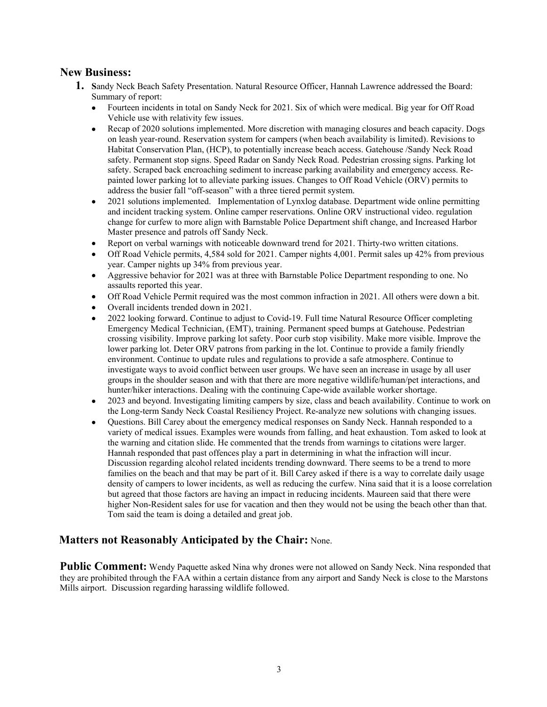## **New Business:**

- **1. S**andy Neck Beach Safety Presentation. Natural Resource Officer, Hannah Lawrence addressed the Board: Summary of report:
	- Fourteen incidents in total on Sandy Neck for 2021. Six of which were medical. Big year for Off Road Vehicle use with relativity few issues.
	- Recap of 2020 solutions implemented. More discretion with managing closures and beach capacity. Dogs on leash year-round. Reservation system for campers (when beach availability is limited). Revisions to Habitat Conservation Plan, (HCP), to potentially increase beach access. Gatehouse /Sandy Neck Road safety. Permanent stop signs. Speed Radar on Sandy Neck Road. Pedestrian crossing signs. Parking lot safety. Scraped back encroaching sediment to increase parking availability and emergency access. Repainted lower parking lot to alleviate parking issues. Changes to Off Road Vehicle (ORV) permits to address the busier fall "off-season" with a three tiered permit system.
	- 2021 solutions implemented. Implementation of Lynxlog database. Department wide online permitting and incident tracking system. Online camper reservations. Online ORV instructional video. regulation change for curfew to more align with Barnstable Police Department shift change, and Increased Harbor Master presence and patrols off Sandy Neck.
	- Report on verbal warnings with noticeable downward trend for 2021. Thirty-two written citations.
	- Off Road Vehicle permits, 4,584 sold for 2021. Camper nights 4,001. Permit sales up 42% from previous year. Camper nights up 34% from previous year.
	- Aggressive behavior for 2021 was at three with Barnstable Police Department responding to one. No assaults reported this year.
	- Off Road Vehicle Permit required was the most common infraction in 2021. All others were down a bit.
	- Overall incidents trended down in 2021.
	- 2022 looking forward. Continue to adjust to Covid-19. Full time Natural Resource Officer completing Emergency Medical Technician, (EMT), training. Permanent speed bumps at Gatehouse. Pedestrian crossing visibility. Improve parking lot safety. Poor curb stop visibility. Make more visible. Improve the lower parking lot. Deter ORV patrons from parking in the lot. Continue to provide a family friendly environment. Continue to update rules and regulations to provide a safe atmosphere. Continue to investigate ways to avoid conflict between user groups. We have seen an increase in usage by all user groups in the shoulder season and with that there are more negative wildlife/human/pet interactions, and hunter/hiker interactions. Dealing with the continuing Cape-wide available worker shortage.
	- 2023 and beyond. Investigating limiting campers by size, class and beach availability. Continue to work on the Long-term Sandy Neck Coastal Resiliency Project. Re-analyze new solutions with changing issues.
	- Questions. Bill Carey about the emergency medical responses on Sandy Neck. Hannah responded to a variety of medical issues. Examples were wounds from falling, and heat exhaustion. Tom asked to look at the warning and citation slide. He commented that the trends from warnings to citations were larger. Hannah responded that past offences play a part in determining in what the infraction will incur. Discussion regarding alcohol related incidents trending downward. There seems to be a trend to more families on the beach and that may be part of it. Bill Carey asked if there is a way to correlate daily usage density of campers to lower incidents, as well as reducing the curfew. Nina said that it is a loose correlation but agreed that those factors are having an impact in reducing incidents. Maureen said that there were higher Non-Resident sales for use for vacation and then they would not be using the beach other than that. Tom said the team is doing a detailed and great job.

# **Matters not Reasonably Anticipated by the Chair:** None.

**Public Comment:** Wendy Paquette asked Nina why drones were not allowed on Sandy Neck. Nina responded that they are prohibited through the FAA within a certain distance from any airport and Sandy Neck is close to the Marstons Mills airport. Discussion regarding harassing wildlife followed.